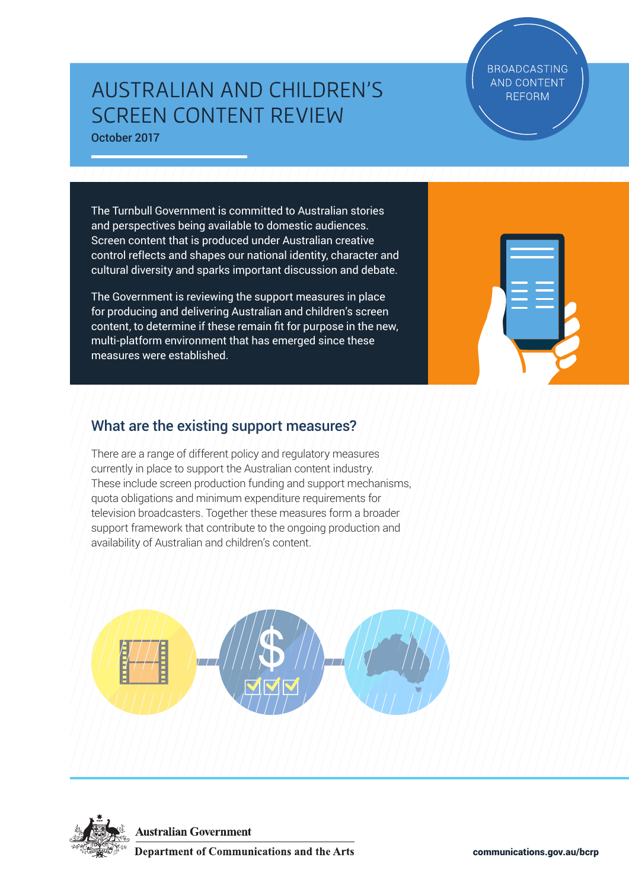# AUSTRALIAN AND CHILDREN'S SCREEN CONTENT REVIEW October 2017

**BROADCASTING AND CONTENT REFORM** 

The Turnbull Government is committed to Australian stories and perspectives being available to domestic audiences. Screen content that is produced under Australian creative control reflects and shapes our national identity, character and cultural diversity and sparks important discussion and debate.

The Government is reviewing the support measures in place for producing and delivering Australian and children's screen content, to determine if these remain fit for purpose in the new, multi-platform environment that has emerged since these measures were established.



# What are the existing support measures?

There are a range of different policy and regulatory measures currently in place to support the Australian content industry. These include screen production funding and support mechanisms, quota obligations and minimum expenditure requirements for television broadcasters. Together these measures form a broader support framework that contribute to the ongoing production and availability of Australian and children's content.





**Australian Government** 

**Department of Communications and the Arts**